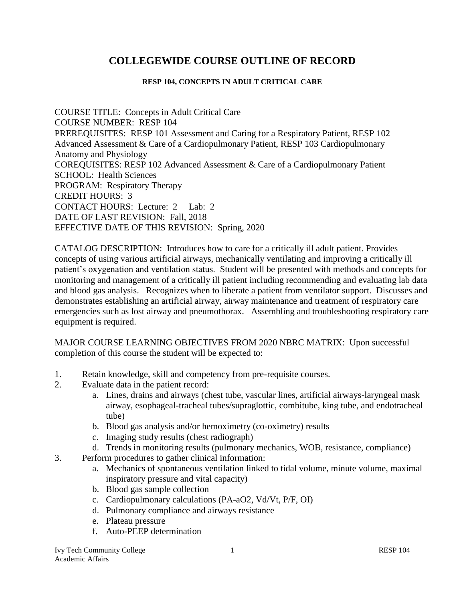# **COLLEGEWIDE COURSE OUTLINE OF RECORD**

#### **RESP 104, CONCEPTS IN ADULT CRITICAL CARE**

COURSE TITLE: Concepts in Adult Critical Care COURSE NUMBER: RESP 104 PREREQUISITES: RESP 101 Assessment and Caring for a Respiratory Patient, RESP 102 Advanced Assessment & Care of a Cardiopulmonary Patient, RESP 103 Cardiopulmonary Anatomy and Physiology COREQUISITES: RESP 102 Advanced Assessment & Care of a Cardiopulmonary Patient SCHOOL: Health Sciences PROGRAM: Respiratory Therapy CREDIT HOURS: 3 CONTACT HOURS: Lecture: 2 Lab: 2 DATE OF LAST REVISION: Fall, 2018 EFFECTIVE DATE OF THIS REVISION: Spring, 2020

CATALOG DESCRIPTION: Introduces how to care for a critically ill adult patient. Provides concepts of using various artificial airways, mechanically ventilating and improving a critically ill patient's oxygenation and ventilation status. Student will be presented with methods and concepts for monitoring and management of a critically ill patient including recommending and evaluating lab data and blood gas analysis. Recognizes when to liberate a patient from ventilator support. Discusses and demonstrates establishing an artificial airway, airway maintenance and treatment of respiratory care emergencies such as lost airway and pneumothorax. Assembling and troubleshooting respiratory care equipment is required.

MAJOR COURSE LEARNING OBJECTIVES FROM 2020 NBRC MATRIX: Upon successful completion of this course the student will be expected to:

- 1. Retain knowledge, skill and competency from pre-requisite courses.
- 2. Evaluate data in the patient record:
	- a. Lines, drains and airways (chest tube, vascular lines, artificial airways-laryngeal mask airway, esophageal-tracheal tubes/supraglottic, combitube, king tube, and endotracheal tube)
	- b. Blood gas analysis and/or hemoximetry (co-oximetry) results
	- c. Imaging study results (chest radiograph)
	- d. Trends in monitoring results (pulmonary mechanics, WOB, resistance, compliance)
- 3. Perform procedures to gather clinical information:
	- a. Mechanics of spontaneous ventilation linked to tidal volume, minute volume, maximal inspiratory pressure and vital capacity)
	- b. Blood gas sample collection
	- c. Cardiopulmonary calculations (PA-aO2, Vd/Vt, P/F, OI)
	- d. Pulmonary compliance and airways resistance
	- e. Plateau pressure
	- f. Auto-PEEP determination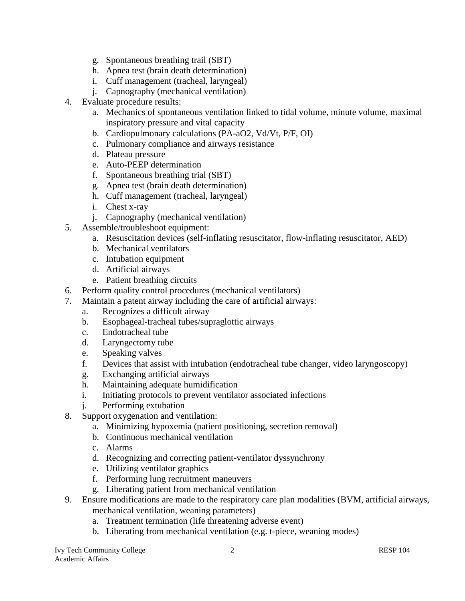- g. Spontaneous breathing trail (SBT)
- h. Apnea test (brain death determination)
- i. Cuff management (tracheal, laryngeal)
- j. Capnography (mechanical ventilation)
- 4. Evaluate procedure results:
	- a. Mechanics of spontaneous ventilation linked to tidal volume, minute volume, maximal inspiratory pressure and vital capacity
	- b. Cardiopulmonary calculations (PA-aO2, Vd/Vt, P/F, OI)
	- c. Pulmonary compliance and airways resistance
	- d. Plateau pressure
	- e. Auto-PEEP determination
	- f. Spontaneous breathing trial (SBT)
	- g. Apnea test (brain death determination)
	- h. Cuff management (tracheal, laryngeal)
	- i. Chest x-ray
	- j. Capnography (mechanical ventilation)
- 5. Assemble/troubleshoot equipment:
	- a. Resuscitation devices (self-inflating resuscitator, flow-inflating resuscitator, AED)
	- b. Mechanical ventilators
	- c. Intubation equipment
	- d. Artificial airways
	- e. Patient breathing circuits
- 6. Perform quality control procedures (mechanical ventilators)
- 7. Maintain a patent airway including the care of artificial airways:
	- a. Recognizes a difficult airway
	- b. Esophageal-tracheal tubes/supraglottic airways
	- c. Endotracheal tube
	- d. Laryngectomy tube
	- e. Speaking valves
	- f. Devices that assist with intubation (endotracheal tube changer, video laryngoscopy)
	- g. Exchanging artificial airways
	- h. Maintaining adequate humidification
	- i. Initiating protocols to prevent ventilator associated infections
	- j. Performing extubation
- 8. Support oxygenation and ventilation:
	- a. Minimizing hypoxemia (patient positioning, secretion removal)
	- b. Continuous mechanical ventilation
	- c. Alarms
	- d. Recognizing and correcting patient-ventilator dyssynchrony
	- e. Utilizing ventilator graphics
	- f. Performing lung recruitment maneuvers
	- g. Liberating patient from mechanical ventilation
- 9. Ensure modifications are made to the respiratory care plan modalities (BVM, artificial airways, mechanical ventilation, weaning parameters)
	- a. Treatment termination (life threatening adverse event)
	- b. Liberating from mechanical ventilation (e.g. t-piece, weaning modes)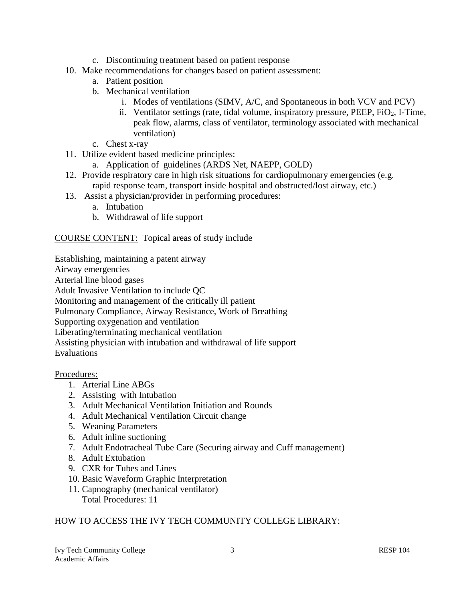- c. Discontinuing treatment based on patient response
- 10. Make recommendations for changes based on patient assessment:
	- a. Patient position
	- b. Mechanical ventilation
		- i. Modes of ventilations (SIMV, A/C, and Spontaneous in both VCV and PCV)
		- ii. Ventilator settings (rate, tidal volume, inspiratory pressure, PEEP, FiO<sub>2</sub>, I-Time, peak flow, alarms, class of ventilator, terminology associated with mechanical ventilation)
	- c. Chest x-ray
- 11. Utilize evident based medicine principles:
	- a. Application of guidelines (ARDS Net, NAEPP, GOLD)
- 12. Provide respiratory care in high risk situations for cardiopulmonary emergencies (e.g. rapid response team, transport inside hospital and obstructed/lost airway, etc.)
- 13. Assist a physician/provider in performing procedures:
	- a. Intubation
	- b. Withdrawal of life support

COURSE CONTENT: Topical areas of study include

Establishing, maintaining a patent airway

Airway emergencies

Arterial line blood gases

Adult Invasive Ventilation to include QC

Monitoring and management of the critically ill patient

Pulmonary Compliance, Airway Resistance, Work of Breathing

Supporting oxygenation and ventilation

Liberating/terminating mechanical ventilation

Assisting physician with intubation and withdrawal of life support

Evaluations

## Procedures:

- 1. Arterial Line ABGs
- 2. Assisting with Intubation
- 3. Adult Mechanical Ventilation Initiation and Rounds
- 4. Adult Mechanical Ventilation Circuit change
- 5. Weaning Parameters
- 6. Adult inline suctioning
- 7. Adult Endotracheal Tube Care (Securing airway and Cuff management)
- 8. Adult Extubation
- 9. CXR for Tubes and Lines
- 10. Basic Waveform Graphic Interpretation
- 11. Capnography (mechanical ventilator) Total Procedures: 11

## HOW TO ACCESS THE IVY TECH COMMUNITY COLLEGE LIBRARY: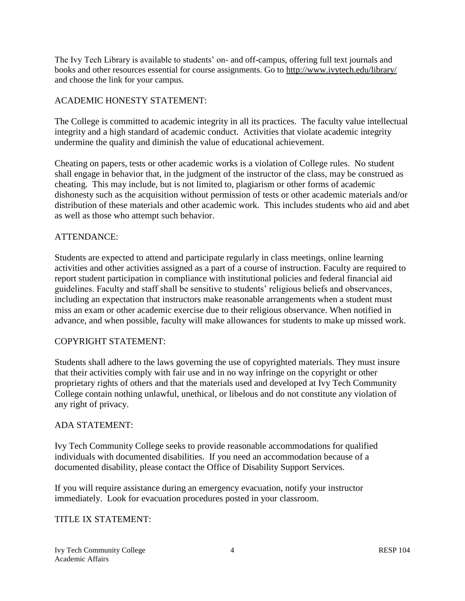The Ivy Tech Library is available to students' on- and off-campus, offering full text journals and books and other resources essential for course assignments. Go to<http://www.ivytech.edu/library/> and choose the link for your campus.

## ACADEMIC HONESTY STATEMENT:

The College is committed to academic integrity in all its practices. The faculty value intellectual integrity and a high standard of academic conduct. Activities that violate academic integrity undermine the quality and diminish the value of educational achievement.

Cheating on papers, tests or other academic works is a violation of College rules. No student shall engage in behavior that, in the judgment of the instructor of the class, may be construed as cheating. This may include, but is not limited to, plagiarism or other forms of academic dishonesty such as the acquisition without permission of tests or other academic materials and/or distribution of these materials and other academic work. This includes students who aid and abet as well as those who attempt such behavior.

## ATTENDANCE:

Students are expected to attend and participate regularly in class meetings, online learning activities and other activities assigned as a part of a course of instruction. Faculty are required to report student participation in compliance with institutional policies and federal financial aid guidelines. Faculty and staff shall be sensitive to students' religious beliefs and observances, including an expectation that instructors make reasonable arrangements when a student must miss an exam or other academic exercise due to their religious observance. When notified in advance, and when possible, faculty will make allowances for students to make up missed work.

## COPYRIGHT STATEMENT:

Students shall adhere to the laws governing the use of copyrighted materials. They must insure that their activities comply with fair use and in no way infringe on the copyright or other proprietary rights of others and that the materials used and developed at Ivy Tech Community College contain nothing unlawful, unethical, or libelous and do not constitute any violation of any right of privacy.

## ADA STATEMENT:

Ivy Tech Community College seeks to provide reasonable accommodations for qualified individuals with documented disabilities. If you need an accommodation because of a documented disability, please contact the Office of Disability Support Services.

If you will require assistance during an emergency evacuation, notify your instructor immediately. Look for evacuation procedures posted in your classroom.

## TITLE IX STATEMENT<sup>.</sup>